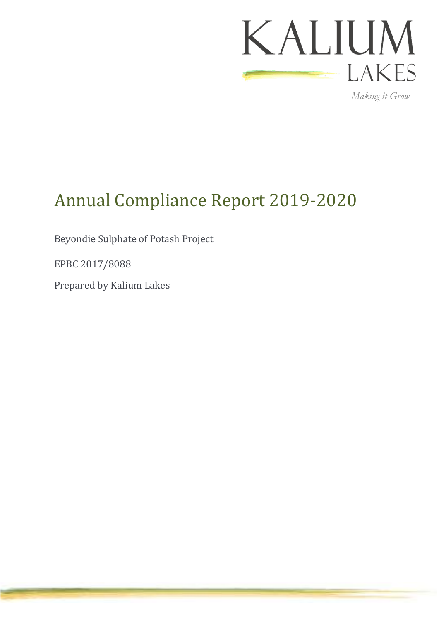

*Making it Grow*

# <span id="page-0-0"></span>Annual Compliance Report 2019-2020

Beyondie Sulphate of Potash Project

<span id="page-0-1"></span>EPBC 2017/8088

Prepared by Kalium Lakes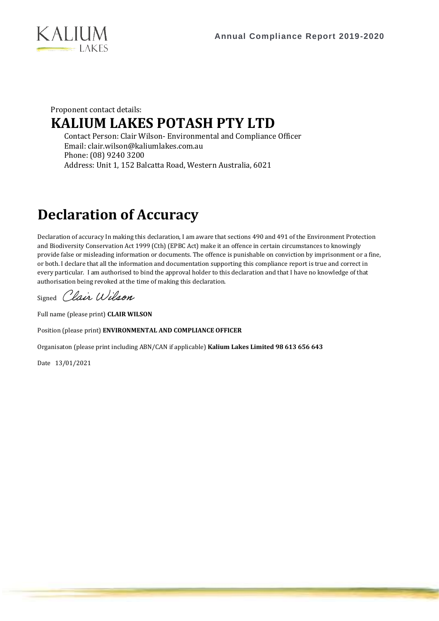

### Proponent contact details: **KALIUM LAKES POTASH PTY LTD**

Contact Person: Clair Wilson- Environmental and Compliance Officer Email: clair.wilson@kaliumlakes.com.au Phone: (08) 9240 3200 Address: Unit 1, 152 Balcatta Road, Western Australia, 6021

# **Declaration of Accuracy**

Declaration of accuracy In making this declaration, I am aware that sections 490 and 491 of the Environment Protection and Biodiversity Conservation Act 1999 (Cth) (EPBC Act) make it an offence in certain circumstances to knowingly provide false or misleading information or documents. The offence is punishable on conviction by imprisonment or a fine, or both. I declare that all the information and documentation supporting this compliance report is true and correct in every particular. I am authorised to bind the approval holder to this declaration and that I have no knowledge of that authorisation being revoked at the time of making this declaration.

Signed Clair Wilson

Full name (please print) **CLAIR WILSON** 

Position (please print) **ENVIRONMENTAL AND COMPLIANCE OFFICER**

Organisaton (please print including ABN/CAN if applicable) **Kalium Lakes Limited 98 613 656 643**

Date 13/01/2021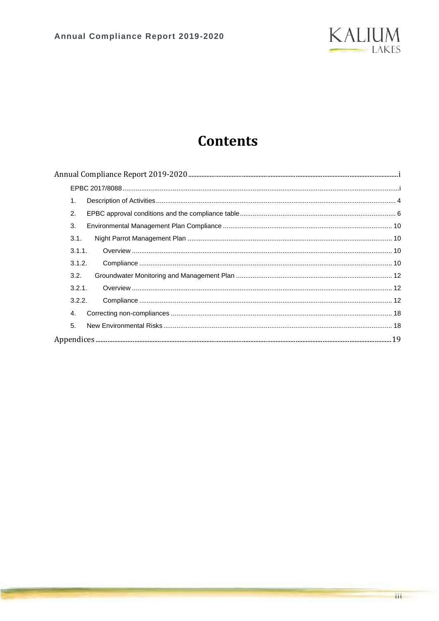

## **Contents**

| 1.     |  |
|--------|--|
| 2.     |  |
| 3.     |  |
| 3.1.   |  |
| 3.1.1. |  |
| 3.1.2. |  |
| 3.2.   |  |
| 3.2.1. |  |
| 3.2.2. |  |
| 4.     |  |
| 5.     |  |
|        |  |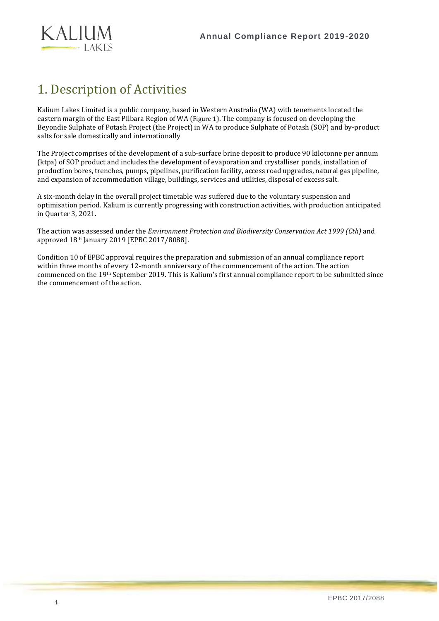

### <span id="page-3-0"></span>1. Description of Activities

Kalium Lakes Limited is a public company, based in Western Australia (WA) with tenements located the eastern margin of the East Pilbara Region of WA ([Figure 1](#page-4-0)). The company is focused on developing the Beyondie Sulphate of Potash Project (the Project) in WA to produce Sulphate of Potash (SOP) and by-product salts for sale domestically and internationally

The Project comprises of the development of a sub-surface brine deposit to produce 90 kilotonne per annum (ktpa) of SOP product and includes the development of evaporation and crystalliser ponds, installation of production bores, trenches, pumps, pipelines, purification facility, access road upgrades, natural gas pipeline, and expansion of accommodation village, buildings, services and utilities, disposal of excess salt.

A six-month delay in the overall project timetable was suffered due to the voluntary suspension and optimisation period. Kalium is currently progressing with construction activities, with production anticipated in Quarter 3, 2021.

The action was assessed under the *Environment Protection and Biodiversity Conservation Act 1999 (Cth)* and approved 18<sup>th</sup> January 2019 [EPBC 2017/8088].

Condition 10 of EPBC approval requires the preparation and submission of an annual compliance report within three months of every 12-month anniversary of the commencement of the action. The action commenced on the 19th September 2019. This is Kalium's first annual compliance report to be submitted since the commencement of the action.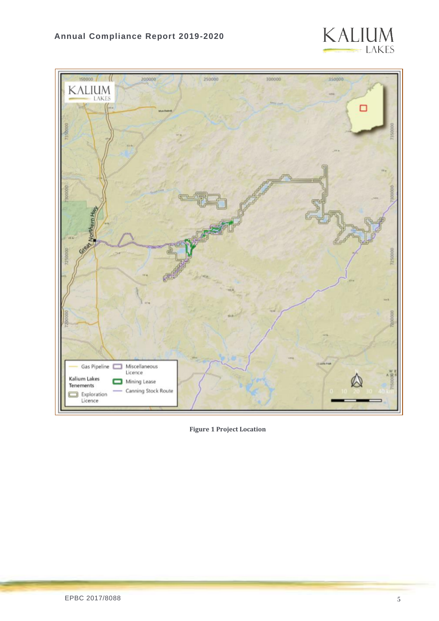



<span id="page-4-0"></span>**Figure 1 Project Location**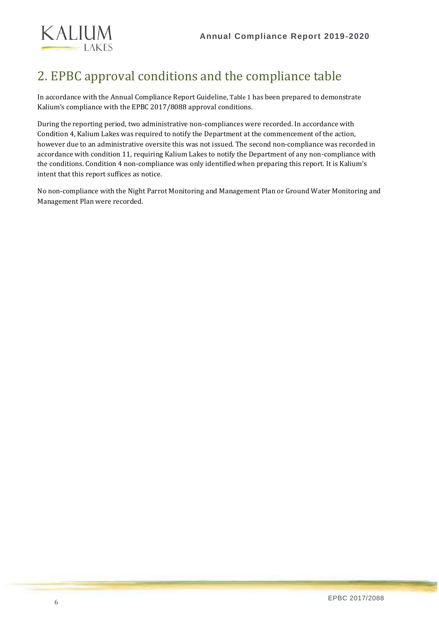

### <span id="page-5-0"></span>2. EPBC approval conditions and the compliance table

In accordance with the Annual Compliance Report Guideline, [Table 1](#page-6-0) has been prepared to demonstrate Kalium's compliance with the EPBC 2017/8088 approval conditions.

During the reporting period, two administrative non-compliances were recorded. In accordance with Condition 4, Kalium Lakes was required to notify the Department at the commencement of the action, however due to an administrative oversite this was not issued. The second non-compliance was recorded in accordance with condition 11, requiring Kalium Lakes to notify the Department of any non-compliance with the conditions. Condition 4 non-compliance was only identified when preparing this report. It is Kalium's intent that this report suffices as notice.

No non-compliance with the Night Parrot Monitoring and Management Plan or Ground Water Monitoring and Management Plan were recorded.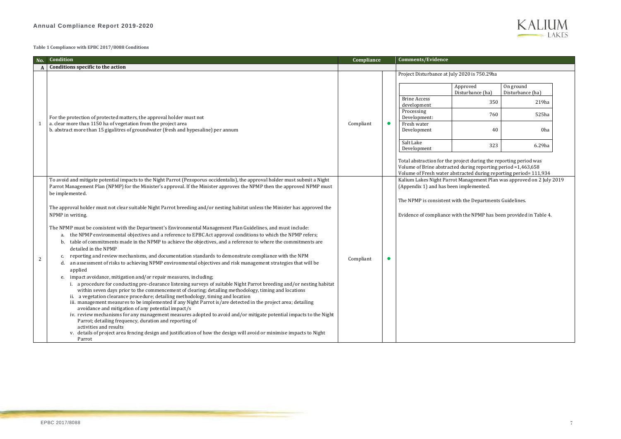### **Annual Compliance Report 2019-2020**

| No. | Condition                                                                                                                                                                                                                                                                                                                                                                                                                           | Compliance |                                                              | <b>Comments/Evidence</b>                                                                                                                                                                           |                              |                              |  |  |  |
|-----|-------------------------------------------------------------------------------------------------------------------------------------------------------------------------------------------------------------------------------------------------------------------------------------------------------------------------------------------------------------------------------------------------------------------------------------|------------|--------------------------------------------------------------|----------------------------------------------------------------------------------------------------------------------------------------------------------------------------------------------------|------------------------------|------------------------------|--|--|--|
|     | Conditions specific to the action                                                                                                                                                                                                                                                                                                                                                                                                   |            |                                                              |                                                                                                                                                                                                    |                              |                              |  |  |  |
|     |                                                                                                                                                                                                                                                                                                                                                                                                                                     |            |                                                              | Project Disturbance at July 2020 is 750.29ha                                                                                                                                                       |                              |                              |  |  |  |
|     | For the protection of protected matters, the approval holder must not<br>a. clear more than 1150 ha of vegetation from the project area<br>b. abstract more than 15 gigalitres of groundwater (fresh and hypesaline) per annum                                                                                                                                                                                                      |            |                                                              |                                                                                                                                                                                                    | Approved<br>Disturbance (ha) | On ground<br>Disturbance (ha |  |  |  |
|     |                                                                                                                                                                                                                                                                                                                                                                                                                                     |            |                                                              | <b>Brine Access</b><br>development                                                                                                                                                                 | 350                          | $\overline{2}$               |  |  |  |
|     |                                                                                                                                                                                                                                                                                                                                                                                                                                     |            |                                                              | Processing<br>Development:                                                                                                                                                                         | 760                          | 5.                           |  |  |  |
|     |                                                                                                                                                                                                                                                                                                                                                                                                                                     | Compliant  | O                                                            | Fresh water<br>Development                                                                                                                                                                         | 40                           |                              |  |  |  |
|     |                                                                                                                                                                                                                                                                                                                                                                                                                                     |            |                                                              | Salt Lake<br>Development                                                                                                                                                                           | 323                          | 6.                           |  |  |  |
|     |                                                                                                                                                                                                                                                                                                                                                                                                                                     |            |                                                              | Total abstraction for the project during the reporting period wa<br>Volume of Brine abstracted during reporting period =1,463,658<br>Volume of Fresh water abstracted during reporting period= 111 |                              |                              |  |  |  |
|     | To avoid and mitigate potential impacts to the Night Parrot (Pezoporus occidentalis), the approval holder must submit a Night<br>Parrot Management Plan (NPMP) for the Minister's approval. If the Minister approves the NPMP then the approved NPMP must<br>be implemented.                                                                                                                                                        |            |                                                              | Kalium Lakes Night Parrot Management Plan was approved on<br>(Appendix 1) and has been implemented.                                                                                                |                              |                              |  |  |  |
|     | The approval holder must not clear suitable Night Parrot breeding and/or nesting habitat unless the Minister has approved the                                                                                                                                                                                                                                                                                                       |            | The NPMP is consistent with the Departments Guidelines.      |                                                                                                                                                                                                    |                              |                              |  |  |  |
|     | NPMP in writing.                                                                                                                                                                                                                                                                                                                                                                                                                    |            | Evidence of compliance with the NPMP has been provided in Ta |                                                                                                                                                                                                    |                              |                              |  |  |  |
|     | The NPMP must be consistent with the Department's Environmental Management Plan Guidelines, and must include:<br>the NPMP environmental objectives and a reference to EPBC Act approval conditions to which the NPMP refers;<br>a.<br>table of commitments made in the NPMP to achieve the objectives, and a reference to where the commitments are<br>b.<br>detailed in the NPMP                                                   |            |                                                              |                                                                                                                                                                                                    |                              |                              |  |  |  |
| 2   | reporting and review mechanisms, and documentation standards to demonstrate compliance with the NPM<br>c.<br>an assessment of risks to achieving NPMP environmental objectives and risk management strategies that will be<br>d.<br>applied                                                                                                                                                                                         | Compliant  | O                                                            |                                                                                                                                                                                                    |                              |                              |  |  |  |
|     | impact avoidance, mitigation and/or repair measures, including;<br>e.                                                                                                                                                                                                                                                                                                                                                               |            |                                                              |                                                                                                                                                                                                    |                              |                              |  |  |  |
|     | i. a procedure for conducting pre-clearance listening surveys of suitable Night Parrot breeding and/or nesting habitat<br>within seven days prior to the commencement of clearing; detailing methodology, timing and locations<br>ii. a vegetation clearance procedure; detailing methodology, timing and location<br>iii. management measures to be implemented if any Night Parrot is/are detected in the project area; detailing |            |                                                              |                                                                                                                                                                                                    |                              |                              |  |  |  |
|     | avoidance and mitigation of any potential impact/s<br>iv. review mechanisms for any management measures adopted to avoid and/or mitigate potential impacts to the Night<br>Parrot; detailing frequency, duration and reporting of<br>activities and results                                                                                                                                                                         |            |                                                              |                                                                                                                                                                                                    |                              |                              |  |  |  |
|     | v. details of project area fencing design and justification of how the design will avoid or minimise impacts to Night<br>Parrot                                                                                                                                                                                                                                                                                                     |            |                                                              |                                                                                                                                                                                                    |                              |                              |  |  |  |

### **KALIUM**  $-LAKES$

### $\overline{O}$  is 750.29ha

#### <span id="page-6-0"></span>**Table 1 Compliance with EPBC 2017/8088 Conditions**

Total abstraction for the project during the reporting period was Volume of Fresh water abstracted during reporting period= 111,934 Kalium Lakes Night Parrot Management Plan was approved on 2 July 2019 lemented.

e NPMP has been provided in [Table 4.](#page-15-0)

|                                    | Approved<br>Disturbance (ha) | On ground<br>Disturbance (ha) |
|------------------------------------|------------------------------|-------------------------------|
|                                    |                              |                               |
| <b>Brine Access</b><br>development | 350                          | 219 <sub>ha</sub>             |
| Processing<br>Development:         | 760                          | 525ha                         |
| Fresh water<br>Development         | 40                           | 0ha                           |
| Salt Lake<br>Development           | 323                          | 6.29ha                        |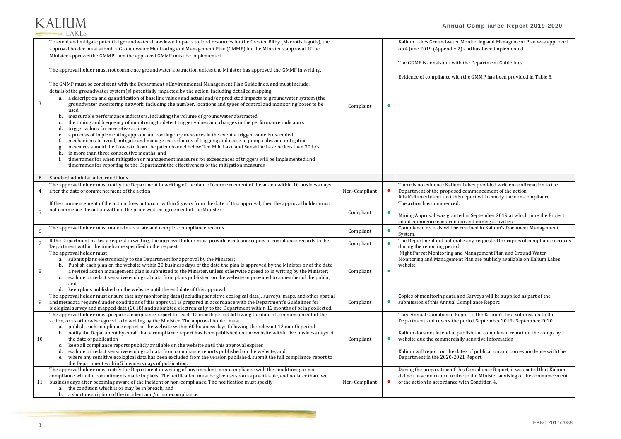### **Annual Compliance Report 2019-2020**

mitoring and Management Plan was approved nd has been implemented.

Ie Department Guidelines.

e GMMP has been provided in [Table 5.](#page-16-0)

akes provided written confirmation to the ommencement of the action. port will remedy the non-compliance.

n September 2019 at which time the Project and mining activities. ained in Kalium's Document Management

any requested for copies of compliance records

Management Plan and Ground Water lan are publicly available on Kalium Lakes

Surveys will be supplied as part of the pliance Report.

rt is the Kalium's first submission to the riod September 2019- September 2020.

ish the compliance report on the company sensitive information

s of publication and correspondence with the Report.

Compliance Report, it was noted that Kalium o the Minister advising of the commencement Gondition 4.

### **KALIUM LAKES**

| 3              | To avoid and mitigate potential groundwater drawdown impacts to food resources for the Greater Bilby (Macrotis lagotis), the<br>approval holder must submit a Groundwater Monitoring and Management Plan (GMMP) for the Minister's approval. If the<br>Minister approves the GMMP then the approved GMMP must be implemented.<br>The approval holder must not commence groundwater abstraction unless the Minister has approved the GMMP in writing.<br>The GMMP must be consistent with the Department's Environmental Management Plan Guidelines, and must include;<br>details of the groundwater system(s) potentially impacted by the action, including detailed mapping<br>a. a description and quantification of baseline values and actual and/or predicted impacts to groundwater system (the<br>groundwater monitoring network, including the number, locations and types of control and monitoring bores to be<br>used<br>measurable performance indicators, including the volume of groundwater abstracted<br>b.<br>the timing and frequency of monitoring to detect trigger values and changes in the performance indicators<br>C.<br>trigger values for corrective actions;<br>d.<br>a process of implementing appropriate contingency measures in the event a trigger value is exceeded<br>е.<br>mechanisms to avoid, mitigate and manage exceedances of triggers; and cease to pump rules and mitigation<br>measures should the flow rate from the paleochannel below Ten Mile Lake and Sunshine Lake be less than 30 L/s<br>in more than three consecutive months; and<br>h.<br>timeframes for when mitigation or management measures for exceedances of triggers will be implemented and<br>timeframes for reporting to the Department the effectiveness of the mitigation measures | Complaint     | Kalium Lakes Groundwater Mor<br>on 4 June 2019 (Appendix 2) an<br>The GGMP is consistent with the<br>Evidence of compliance with the                                                                                                        |
|----------------|------------------------------------------------------------------------------------------------------------------------------------------------------------------------------------------------------------------------------------------------------------------------------------------------------------------------------------------------------------------------------------------------------------------------------------------------------------------------------------------------------------------------------------------------------------------------------------------------------------------------------------------------------------------------------------------------------------------------------------------------------------------------------------------------------------------------------------------------------------------------------------------------------------------------------------------------------------------------------------------------------------------------------------------------------------------------------------------------------------------------------------------------------------------------------------------------------------------------------------------------------------------------------------------------------------------------------------------------------------------------------------------------------------------------------------------------------------------------------------------------------------------------------------------------------------------------------------------------------------------------------------------------------------------------------------------------------------------------------------------------------------------------------------------------------|---------------|---------------------------------------------------------------------------------------------------------------------------------------------------------------------------------------------------------------------------------------------|
| B              | Standard administrative conditions                                                                                                                                                                                                                                                                                                                                                                                                                                                                                                                                                                                                                                                                                                                                                                                                                                                                                                                                                                                                                                                                                                                                                                                                                                                                                                                                                                                                                                                                                                                                                                                                                                                                                                                                                                   |               |                                                                                                                                                                                                                                             |
| 4              | The approval holder must notify the Department in writing of the date of commencement of the action within 10 business days<br>after the date of commencement of the action                                                                                                                                                                                                                                                                                                                                                                                                                                                                                                                                                                                                                                                                                                                                                                                                                                                                                                                                                                                                                                                                                                                                                                                                                                                                                                                                                                                                                                                                                                                                                                                                                          | Non-Compliant | There is no evidence Kalium Lal<br>Department of the proposed cor<br>It is Kalium's intent that this rep                                                                                                                                    |
| 5              | If the commencement of the action does not occur within 5 years from the date of this approval, then the approval holder must<br>not commence the action without the prior written agreement of the Minister                                                                                                                                                                                                                                                                                                                                                                                                                                                                                                                                                                                                                                                                                                                                                                                                                                                                                                                                                                                                                                                                                                                                                                                                                                                                                                                                                                                                                                                                                                                                                                                         | Compliant     | The action has commenced.<br>Mining Approval was granted in<br>could commence construction a                                                                                                                                                |
| 6              | The approval holder must maintain accurate and complete compliance records                                                                                                                                                                                                                                                                                                                                                                                                                                                                                                                                                                                                                                                                                                                                                                                                                                                                                                                                                                                                                                                                                                                                                                                                                                                                                                                                                                                                                                                                                                                                                                                                                                                                                                                           | Compliant     | Compliance records will be reta<br>System.                                                                                                                                                                                                  |
| $\overline{7}$ | If the Department makes a request in writing, the approval holder must provide electronic copies of compliance records to the<br>Department within the timeframe specified in the request                                                                                                                                                                                                                                                                                                                                                                                                                                                                                                                                                                                                                                                                                                                                                                                                                                                                                                                                                                                                                                                                                                                                                                                                                                                                                                                                                                                                                                                                                                                                                                                                            | Compliant     | The Department did not make a<br>during the reporting period.                                                                                                                                                                               |
| 8              | The approval holder must:<br>a. submit plans electronically to the Department for approval by the Minister;<br>b. Publish each plan on the website within 20 business days of the date the plan is approved by the Minister or of the date<br>a revised action management plan is submitted to the Minister, unless otherwise agreed to in writing by the Minister;<br>exclude or redact sensitive ecological data from plans published on the website or provided to a member of the public;<br>c.<br>and<br>d. keep plans published on the website until the end date of this approval                                                                                                                                                                                                                                                                                                                                                                                                                                                                                                                                                                                                                                                                                                                                                                                                                                                                                                                                                                                                                                                                                                                                                                                                             | Compliant     | Night Parrot Monitoring and M<br>Monitoring and Management Pl<br>website.                                                                                                                                                                   |
| 9              | The approval holder must ensure that any monitoring data (including sensitive ecological data), surveys, maps, and other spatial<br>and metadata required under conditions of this approval, is prepared in accordance with the Department's Guidelines for<br>biological survey and mapped data (2018) and submitted electronically to the Department within 12 months of being collected.                                                                                                                                                                                                                                                                                                                                                                                                                                                                                                                                                                                                                                                                                                                                                                                                                                                                                                                                                                                                                                                                                                                                                                                                                                                                                                                                                                                                          | Compliant     | Copies of monitoring data and S<br>submission of this Annual Comp                                                                                                                                                                           |
| 10             | The approval holder must prepare a compliance report for each 12 month period following the date of commencement of the<br>action, or as otherwise agreed to in writing by the Minister. The approval holder must<br>publish each compliance report on the website within 60 business days following the relevant 12 month period<br>a.<br>notify the Department by email that a compliance report has been published on the website within five business days of<br>b.<br>the date of publication<br>keep all compliance reports publicly available on the website until this approval expires<br>c.<br>exclude or redact sensitive ecological data from compliance reports published on the website; and<br>d.<br>where any sensitive ecological data has been excluded from the version published, submit the full compliance report to<br>e.<br>the Department within 5 business days of publication.<br>The approval holder must notify the Department in writing of any: incident; non-compliance with the conditions; or non-                                                                                                                                                                                                                                                                                                                                                                                                                                                                                                                                                                                                                                                                                                                                                                 | Compliant     | This Annual Compliance Repor<br>Department and covers the peri<br>Kalium does not intend to publi<br>website due the commercially s<br>Kalium will report on the dates<br>Department in the 2020-2021 F<br>During the preparation of this C |
| 11             | compliance with the commitments made in plans. The notification must be given as soon as practicable, and no later than two<br>business days after becoming aware of the incident or non-compliance. The notification must specify<br>the condition which is or may be in breach; and<br>a.<br>a short description of the incident and/or non-compliance.<br>b.                                                                                                                                                                                                                                                                                                                                                                                                                                                                                                                                                                                                                                                                                                                                                                                                                                                                                                                                                                                                                                                                                                                                                                                                                                                                                                                                                                                                                                      | Non-Compliant | did not have on record notice to<br>of the action in accordance with                                                                                                                                                                        |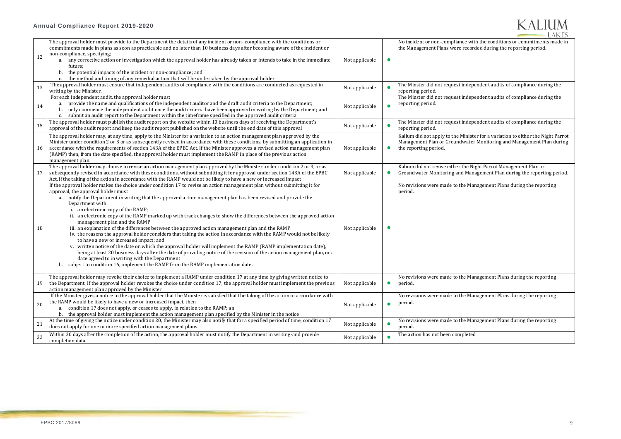#### **Annual Compliance Report 2019-2020**

### **KALIUM LAKES**

with the conditions or commitments made in corded during the reporting period.

dependent audits of compliance during the

dependent audits of compliance during the

dependent audits of compliance during the

nister for a variation to either the Night Parrot ater Monitoring and Management Plan during

|    | The approval holder must provide to the Department the details of any incident or non-compliance with the conditions or<br>commitments made in plans as soon as practicable and no later than 10 business days after becoming aware of the incident or |                |           | No incident or non-compliance<br>the Management Plans were red |
|----|--------------------------------------------------------------------------------------------------------------------------------------------------------------------------------------------------------------------------------------------------------|----------------|-----------|----------------------------------------------------------------|
|    | non-compliance, specifying;                                                                                                                                                                                                                            |                |           |                                                                |
| 12 | a. any corrective action or investigation which the approval holder has already taken or intends to take in the immediate                                                                                                                              | Not applicable |           |                                                                |
|    | future;                                                                                                                                                                                                                                                |                |           |                                                                |
|    | the potential impacts of the incident or non-compliance; and<br>b.                                                                                                                                                                                     |                |           |                                                                |
|    | the method and timing of any remedial action that will be undertaken by the approval holder                                                                                                                                                            |                |           |                                                                |
|    | The approval holder must ensure that independent audits of compliance with the conditions are conducted as requested in                                                                                                                                |                |           | The Minster did not request ind                                |
| 13 | writing by the Minister.                                                                                                                                                                                                                               | Not applicable |           | reporting period.                                              |
|    | For each independent audit, the approval holder must                                                                                                                                                                                                   |                |           | The Minster did not request ind                                |
|    | provide the name and qualifications of the independent auditor and the draft audit criteria to the Department;                                                                                                                                         |                |           | reporting period.                                              |
| 14 | only commence the independent audit once the audit criteria have been approved in writing by the Department; and<br>b.                                                                                                                                 | Not applicable |           |                                                                |
|    | c. submit an audit report to the Department within the timeframe specified in the approved audit criteria                                                                                                                                              |                |           |                                                                |
|    | The approval holder must publish the audit report on the website within 10 business days of receiving the Department's                                                                                                                                 |                |           | The Minster did not request ind                                |
| 15 | approval of the audit report and keep the audit report published on the website until the end date of this approval                                                                                                                                    | Not applicable |           | reporting period.                                              |
|    | The approval holder may, at any time, apply to the Minister for a variation to an action management plan approved by the                                                                                                                               |                |           | Kalium did not apply to the Min                                |
|    | Minister under condition 2 or 3 or as subsequently revised in accordance with these conditions, by submitting an application in                                                                                                                        |                |           | Management Plan or Groundwa                                    |
| 16 | accordance with the requirements of section 143A of the EPBC Act. If the Minister approves a revised action management plan                                                                                                                            | Not applicable |           | the reporting period.                                          |
|    | (RAMP) then, from the date specified, the approval holder must implement the RAMP in place of the previous action                                                                                                                                      |                |           |                                                                |
|    | management plan.                                                                                                                                                                                                                                       |                |           |                                                                |
|    | The approval holder may choose to revise an action management plan approved by the Minister under condition 2 or 3, or as                                                                                                                              |                |           | Kalium did not revise either the                               |
| 17 | subsequently revised in accordance with these conditions, without submitting it for approval under section 143A of the EPBC                                                                                                                            | Not applicable |           | Groundwater Monitoring and M                                   |
|    | Act, if the taking of the action in accordance with the RAMP would not be likely to have a new or increased impact                                                                                                                                     |                |           |                                                                |
|    | If the approval holder makes the choice under condition 17 to revise an action management plan without submitting it for                                                                                                                               |                |           | No revisions were made to the I                                |
|    | approval, the approval holder must                                                                                                                                                                                                                     |                |           | period.                                                        |
|    | notify the Department in writing that the approved action management plan has been revised and provide the                                                                                                                                             |                |           |                                                                |
|    | a.<br>Department with                                                                                                                                                                                                                                  |                |           |                                                                |
|    | i. an electronic copy of the RAMP;                                                                                                                                                                                                                     |                |           |                                                                |
|    | ii. an electronic copy of the RAMP marked up with track changes to show the differences between the approved action                                                                                                                                    |                |           |                                                                |
|    | management plan and the RAMP                                                                                                                                                                                                                           |                |           |                                                                |
| 18 | iii. an explanation of the differences between the approved action management plan and the RAMP                                                                                                                                                        | Not applicable |           |                                                                |
|    | iv. the reasons the approval holder considers that taking the action in accordance with the RAMP would not be likely                                                                                                                                   |                |           |                                                                |
|    | to have a new or increased impact; and                                                                                                                                                                                                                 |                |           |                                                                |
|    | v. written notice of the date on which the approval holder will implement the RAMP (RAMP implementation date),                                                                                                                                         |                |           |                                                                |
|    | being at least 20 business days after the date of providing notice of the revision of the action management plan, or a                                                                                                                                 |                |           |                                                                |
|    | date agreed to in writing with the Department                                                                                                                                                                                                          |                |           |                                                                |
|    | b. subject to condition 16, implement the RAMP from the RAMP implementation date.                                                                                                                                                                      |                |           |                                                                |
|    |                                                                                                                                                                                                                                                        |                |           |                                                                |
|    | The approval holder may revoke their choice to implement a RAMP under condition 17 at any time by giving written notice to                                                                                                                             |                |           | No revisions were made to the I                                |
| 19 | the Department. If the approval holder revokes the choice under condition 17, the approval holder must implement the previous                                                                                                                          | Not applicable |           | period.                                                        |
|    | action management plan approved by the Minister                                                                                                                                                                                                        |                |           |                                                                |
|    | If the Minister gives a notice to the approval holder that the Minister is satisfied that the taking of the action in accordance with                                                                                                                  |                |           | No revisions were made to the I                                |
|    | the RAMP would be likely to have a new or increased impact, then                                                                                                                                                                                       |                |           |                                                                |
| 20 | a. condition 17 does not apply, or ceases to apply, in relation to the RAMP; an                                                                                                                                                                        | Not applicable | $\bullet$ | period.                                                        |
|    | b. the approval holder must implement the action management plan specified by the Minister in the notice                                                                                                                                               |                |           |                                                                |
|    | At the time of giving the notice under condition 20, the Minister may also notify that for a specified period of time, condition 17                                                                                                                    |                |           | No revisions were made to the I                                |
| 21 | does not apply for one or more specified action management plans                                                                                                                                                                                       | Not applicable |           | period.                                                        |
|    |                                                                                                                                                                                                                                                        |                |           |                                                                |
| 22 | Within 30 days after the completion of the action, the approval holder must notify the Department in writing-and provide                                                                                                                               | Not applicable |           | The action has not been comple                                 |
|    | completion data                                                                                                                                                                                                                                        |                |           |                                                                |

Kalium did not revise either the Night Parrot Management Plan or Groundwater Monitoring and Management Plan during the reporting period.

Management Plans during the reporting

Management Plans during the reporting

Management Plans during the reporting

Management Plans during the reporting

 $eted$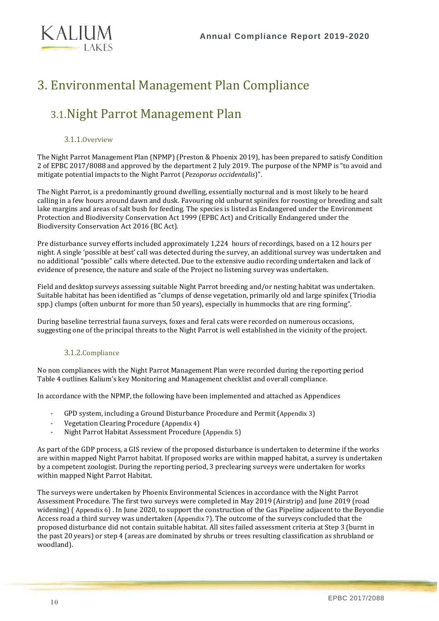

## <span id="page-9-0"></span>3. Environmental Management Plan Compliance

### <span id="page-9-1"></span>3.1.Night Parrot Management Plan

#### 3.1.1.Overview

<span id="page-9-2"></span>The Night Parrot Management Plan (NPMP) (Preston & Phoenix 2019), has been prepared to satisfy Condition 2 of EPBC 2017/8088 and approved by the department 2 July 2019. The purpose of the NPMP is "to avoid and mitigate potential impacts to the Night Parrot (*Pezoporus occidentalis*)".

The Night Parrot, is a predominantly ground dwelling, essentially nocturnal and is most likely to be heard calling in a few hours around dawn and dusk. Favouring old unburnt spinifex for roosting or breeding and salt lake margins and areas of salt bush for feeding. The species is listed as Endangered under the Environment Protection and Biodiversity Conservation Act 1999 (EPBC Act) and Critically Endangered under the Biodiversity Conservation Act 2016 (BC Act).

Pre disturbance survey efforts included approximately 1,224 hours of recordings, based on a 12 hours per night. A single 'possible at best' call was detected during the survey, an additional survey was undertaken and no additional "possible" calls where detected. Due to the extensive audio recording undertaken and lack of evidence of presence, the nature and scale of the Project no listening survey was undertaken.

Field and desktop surveys assessing suitable Night Parrot breeding and/or nesting habitat was undertaken. Suitable habitat has been identified as "clumps of dense vegetation, primarily old and large spinifex (Triodia spp.) clumps (often unburnt for more than 50 years), especially in hummocks that are ring forming".

<span id="page-9-3"></span>During baseline terrestrial fauna surveys, foxes and feral cats were recorded on numerous occasions, suggesting one of the principal threats to the Night Parrot is well established in the vicinity of the project.

#### 3.1.2.Compliance

No non compliances with the Night Parrot Management Plan were recorded during the reporting period [Table 4](#page-15-0) outlines Kalium's key Monitoring and Management checklist and overall compliance.

In accordance with the NPMP, the following have been implemented and attached as Appendices

- GPD system, including a Ground Disturbance Procedure and Permit ([Appendix 3](#page-18-3))
- Vegetation Clearing Procedure ([Appendix 4](#page-18-4))
- Night Parrot Habitat Assessment Procedure ([Appendix 5](#page-18-5))

As part of the GDP process, a GIS review of the proposed disturbance is undertaken to determine if the works are within mapped Night Parrot habitat. If proposed works are within mapped habitat, a survey is undertaken by a competent zoologist. During the reporting period, 3 preclearing surveys were undertaken for works within mapped Night Parrot Habitat.

The surveys were undertaken by Phoenix Environmental Sciences in accordance with the Night Parrot Assessment Procedure. The first two surveys were completed in May 2019 (Airstrip) and June 2019 (road widening) ( [Appendix 6](#page-18-6)) . In June 2020, to support the construction of the Gas Pipeline adjacent to the Beyondie Access road a third survey was undertaken ([Appendix 7](#page-18-7)). The outcome of the surveys concluded that the proposed disturbance did not contain suitable habitat. All sites failed assessment criteria at Step 3 (burnt in the past 20 years) or step 4 (areas are dominated by shrubs or trees resulting classification as shrubland or woodland).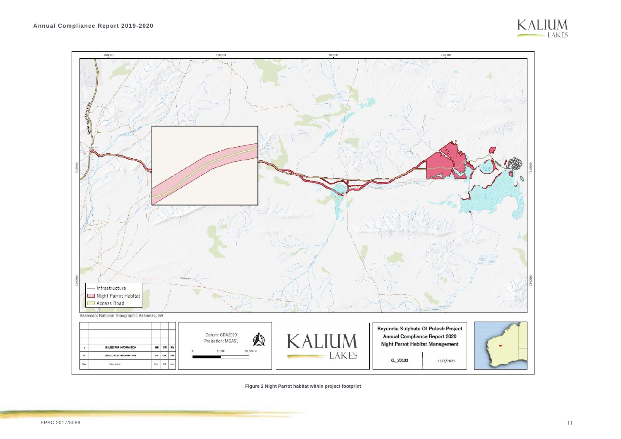

**Figure 2 Night Parrot habitat within project footprint**

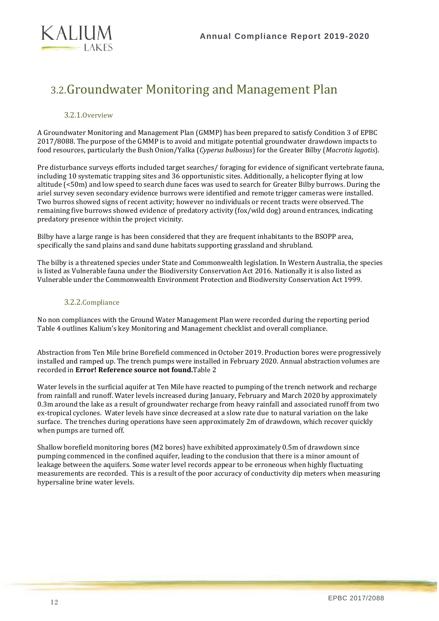

### <span id="page-11-0"></span>3.2.Groundwater Monitoring and Management Plan

#### 3.2.1.Overview

<span id="page-11-1"></span>A Groundwater Monitoring and Management Plan (GMMP) has been prepared to satisfy Condition 3 of EPBC 2017/8088. The purpose of the GMMP is to avoid and mitigate potential groundwater drawdown impacts to food resources, particularly the Bush Onion/Yalka (*Cyperus bulbosus*) for the Greater Bilby (*Macrotis lagotis*).

Pre disturbance surveys efforts included target searches/ foraging for evidence of significant vertebrate fauna, including 10 systematic trapping sites and 36 opportunistic sites. Additionally, a helicopter flying at low altitude (<50m) and low speed to search dune faces was used to search for Greater Bilby burrows. During the ariel survey seven secondary evidence burrows were identified and remote trigger cameras were installed. Two burros showed signs of recent activity; however no individuals or recent tracts were observed. The remaining five burrows showed evidence of predatory activity (fox/wild dog) around entrances, indicating predatory presence within the project vicinity.

Bilby have a large range is has been considered that they are frequent inhabitants to the BSOPP area, specifically the sand plains and sand dune habitats supporting grassland and shrubland.

<span id="page-11-2"></span>The bilby is a threatened species under State and Commonwealth legislation. In Western Australia, the species is listed as Vulnerable fauna under the [Biodiversity Conservation Act 2016.](https://www.legislation.wa.gov.au/legislation/statutes.nsf/law_a147120.html) Nationally it is also listed as Vulnerable under the Commonwealth Environment Protection and Biodiversity Conservation Act 1999.

#### 3.2.2.Compliance

No non compliances with the Ground Water Management Plan were recorded during the reporting period [Table 4](#page-15-0) outlines Kalium's key Monitoring and Management checklist and overall compliance.

Abstraction from Ten Mile brine Borefield commenced in October 2019. Production bores were progressively installed and ramped up. The trench pumps were installed in February 2020. Annual abstraction volumes are recorded in **Error! Reference source not found.**[Table 2](#page-12-0)

Water levels in the surficial aquifer at Ten Mile have reacted to pumping of the trench network and recharge from rainfall and runoff. Water levels increased during January, February and March 2020 by approximately 0.3m around the lake as a result of groundwater recharge from heavy rainfall and associated runoff from two ex-tropical cyclones. Water levels have since decreased at a slow rate due to natural variation on the lake surface. The trenches during operations have seen approximately 2m of drawdown, which recover quickly when pumps are turned off.

Shallow borefield monitoring bores (M2 bores) have exhibited approximately 0.5m of drawdown since pumping commenced in the confined aquifer, leading to the conclusion that there is a minor amount of leakage between the aquifers. Some water level records appear to be erroneous when highly fluctuating measurements are recorded. This is a result of the poor accuracy of conductivity dip meters when measuring hypersaline brine water levels.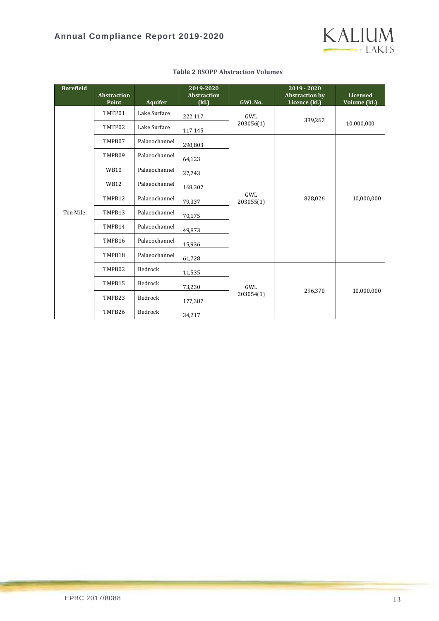

<span id="page-12-0"></span>

| <b>Borefield</b> | <b>Abstraction</b><br>Point | <b>Aquifer</b> | 2019-2020<br><b>Abstraction</b><br>(kL) | GWL No.          | 2019 - 2020<br><b>Abstraction by</b><br>Licence (kL) | Licensed<br>Volume (kL) |
|------------------|-----------------------------|----------------|-----------------------------------------|------------------|------------------------------------------------------|-------------------------|
|                  | TMTP01                      | Lake Surface   | 222,117                                 | GWL              | 339,262                                              |                         |
|                  | TMTP02                      | Lake Surface   | 117,145                                 | 203056(1)        |                                                      | 10,000,000              |
|                  | TMPB07                      | Palaeochannel  | 290,803                                 |                  |                                                      |                         |
|                  | TMPB09                      | Palaeochannel  | 64,123                                  |                  |                                                      |                         |
|                  | <b>WB10</b>                 | Palaeochannel  | 27,743                                  |                  | 828,026                                              |                         |
|                  | <b>WB12</b>                 | Palaeochannel  | 168,307                                 | GWL<br>203055(1) |                                                      |                         |
|                  | TMPB12                      | Palaeochannel  | 79,337                                  |                  |                                                      | 10,000,000              |
| Ten Mile         | TMPB13                      | Palaeochannel  | 70,175                                  |                  |                                                      |                         |
|                  | TMPB14                      | Palaeochannel  | 49,873                                  |                  |                                                      |                         |
|                  | TMPB16                      | Palaeochannel  | 15,936                                  |                  |                                                      |                         |
|                  | TMPB18                      | Palaeochannel  | 61,728                                  |                  |                                                      |                         |
|                  | TMPB02<br>Bedrock<br>11,535 |                |                                         |                  |                                                      |                         |
|                  | TMPB15                      | Bedrock        | 73,230                                  | GWL              | 296,370                                              | 10,000,000              |
|                  | TMPB23                      | Bedrock        | 177,387                                 | 203054(1)        |                                                      |                         |
|                  | TMPB26                      | Bedrock        | 34,217                                  |                  |                                                      |                         |

#### **Table 2 BSOPP Abstraction Volumes**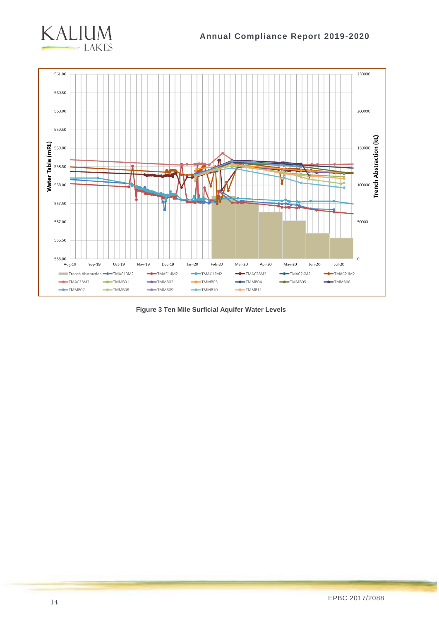



**Figure 3 Ten Mile Surficial Aquifer Water Levels**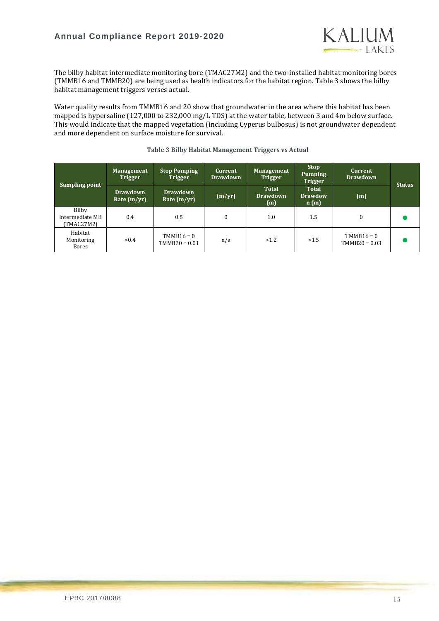

The bilby habitat intermediate monitoring bore (TMAC27M2) and the two-installed habitat monitoring bores (TMMB16 and TMMB20) are being used as health indicators for the habitat region. [Table 3](#page-14-0) shows the bilby habitat management triggers verses actual.

Water quality results from TMMB16 and 20 show that groundwater in the area where this habitat has been mapped is hypersaline (127,000 to 232,000 mg/L TDS) at the water table, between 3 and 4m below surface. This would indicate that the mapped vegetation (including Cyperus bulbosus) is not groundwater dependent and more dependent on surface moisture for survival.

<span id="page-14-0"></span>

| Sampling point                         | <b>Management</b><br><b>Trigger</b> | <b>Stop Pumping</b><br><b>Trigger</b> | <b>Current</b><br><b>Drawdown</b> | <b>Management</b><br><b>Trigger</b>    | <b>Stop</b><br>Pumping<br><b>Trigger</b> | <b>Current</b><br><b>Drawdown</b> | <b>Status</b> |
|----------------------------------------|-------------------------------------|---------------------------------------|-----------------------------------|----------------------------------------|------------------------------------------|-----------------------------------|---------------|
|                                        | <b>Drawdown</b><br>Rate $(m/yr)$    | <b>Drawdown</b><br>Rate $(m/yr)$      | (m/yr)                            | <b>Total</b><br><b>Drawdown</b><br>(m) | <b>Total</b><br><b>Drawdow</b><br>n(m)   | (m)                               |               |
| Bilby<br>Intermediate MB<br>(TMAC27M2) | 0.4                                 | 0.5                                   |                                   | 1.0                                    | 1.5                                      | $\theta$                          |               |
| Habitat<br>Monitoring<br><b>Bores</b>  | >0.4                                | $TMMB16 = 0$<br>$TMMB20 = 0.01$       | n/a                               | >1.2                                   | >1.5                                     | $TMMB16 = 0$<br>$TMMB20 = 0.03$   |               |

#### **Table 3 Bilby Habitat Management Triggers vs Actual**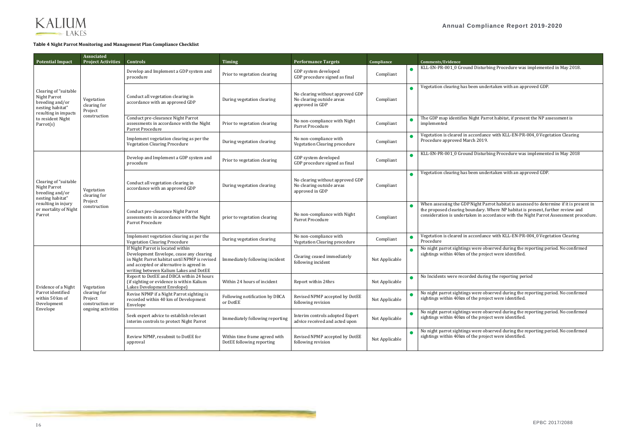and Disturbing Procedure was implemented in May 2018.

been undertaken with an approved GDP.

If Night Parrot habitat, if present the NP assessment is

accordance with KLL-EN-PR-004\_0 Vegetation Clearing arch  $2019$ .

and Disturbing Procedure was implemented in May 2018

been undertaken with an approved GDP.

P Night Parrot habitat is assessed to determine if it is present in  $\tilde{\text{boundary}}$ . Where NP habitat is present, further review and taken in accordance with the Night Parrot Assessment procedure.

I accordance with KLL-EN-PR-004\_0 Vegetation Clearing



#### <span id="page-15-0"></span>**Table 4 Night Parrot Monitoring and Management Plan Compliance Checklist**

| <b>Potential Impact</b>                                                                              | <b>Associated</b><br><b>Project Activities</b>                                                                                                                                                                                                                                    | <b>Controls</b>                                                                                                                                                                                                      | <b>Timing</b>                                                         | <b>Performance Targets</b>                                                       | Compliance                                                                       |                        | <b>Comments/Evidence</b>                                                    |                         |
|------------------------------------------------------------------------------------------------------|-----------------------------------------------------------------------------------------------------------------------------------------------------------------------------------------------------------------------------------------------------------------------------------|----------------------------------------------------------------------------------------------------------------------------------------------------------------------------------------------------------------------|-----------------------------------------------------------------------|----------------------------------------------------------------------------------|----------------------------------------------------------------------------------|------------------------|-----------------------------------------------------------------------------|-------------------------|
|                                                                                                      | Vegetation<br>clearing for<br>Project                                                                                                                                                                                                                                             | Develop and Implement a GDP system and<br>procedure                                                                                                                                                                  | Prior to vegetation clearing                                          | GDP system developed<br>GDP procedure signed as final                            | Compliant                                                                        | $\bullet$              | KLL-EN-PR-001_0 Grou                                                        |                         |
| Clearing of "suitable<br>Night Parrot<br>breeding and/or<br>nesting habitat"<br>resulting in impacts |                                                                                                                                                                                                                                                                                   | Conduct all vegetation clearing in<br>accordance with an approved GDP                                                                                                                                                | During vegetation clearing                                            | No clearing without approved GDP<br>No clearing outside areas<br>approved in GDP | Compliant                                                                        |                        | Vegetation clearing has                                                     |                         |
| to resident Night<br>Parrot(s)                                                                       | construction                                                                                                                                                                                                                                                                      | Conduct pre-clearance Night Parrot<br>assessments in accordance with the Night<br>Parrot Procedure                                                                                                                   | Prior to vegetation clearing                                          | No non-compliance with Night<br>Parrot Procedure                                 | Compliant                                                                        |                        | The GDP map identifies<br>implemented                                       |                         |
|                                                                                                      |                                                                                                                                                                                                                                                                                   | Implement vegetation clearing as per the<br><b>Vegetation Clearing Procedure</b>                                                                                                                                     | During vegetation clearing                                            | No non-compliance with<br>Vegetation Clearing procedure                          | Compliant                                                                        |                        | Vegetation is cleared in<br>Procedure approved Ma                           |                         |
|                                                                                                      |                                                                                                                                                                                                                                                                                   | Develop and Implement a GDP system and<br>procedure                                                                                                                                                                  | Prior to vegetation clearing                                          | GDP system developed<br>GDP procedure signed as final                            | Compliant                                                                        |                        | KLL-EN-PR-001_0 Grou                                                        |                         |
| Clearing of "suitable<br>Night Parrot<br>breeding and/or<br>nesting habitat"                         | Vegetation<br>clearing for<br>Project<br>construction                                                                                                                                                                                                                             |                                                                                                                                                                                                                      | Conduct all vegetation clearing in<br>accordance with an approved GDP | During vegetation clearing                                                       | No clearing without approved GDP<br>No clearing outside areas<br>approved in GDP | Compliant              |                                                                             | Vegetation clearing has |
| resulting in injury<br>or mortality of Night<br>Parrot                                               |                                                                                                                                                                                                                                                                                   | Conduct pre-clearance Night Parrot<br>assessments in accordance with the Night<br>Parrot Procedure                                                                                                                   | prior to vegetation clearing                                          | No non-compliance with Night<br>Parrot Procedure                                 | Compliant                                                                        |                        | When assessing the GD<br>the proposed clearing b<br>consideration is undert |                         |
|                                                                                                      |                                                                                                                                                                                                                                                                                   | Implement vegetation clearing as per the<br><b>Vegetation Clearing Procedure</b>                                                                                                                                     | During vegetation clearing                                            | No non-compliance with<br>Vegetation Clearing procedure                          | Compliant                                                                        |                        | Vegetation is cleared in<br>Procedure                                       |                         |
|                                                                                                      |                                                                                                                                                                                                                                                                                   | If Night Parrot is located within<br>Development Envelope, cease any clearing<br>in Night Parrot habitat until NPMP is revised<br>and accepted or alternative is agreed in<br>writing between Kalium Lakes and DotEE | Immediately following incident                                        | Clearing ceased immediately<br>following incident                                | Not Applicable                                                                   |                        | No night parrot sighting<br>sightings within 40km                           |                         |
| Evidence of a Night                                                                                  | Report to DotEE and DBCA within 24 hours<br>(if sighting or evidence is within Kalium<br>Lakes Development Envelope)<br>Vegetation<br>clearing for<br>Revise NPMP if a Night Parrot sighting is<br>Project<br>recorded within 40 km of Development<br>or DotEE<br>construction or | Within 24 hours of incident                                                                                                                                                                                          | Report within 24hrs                                                   | Not Applicable                                                                   |                                                                                  | No Incidents were reco |                                                                             |                         |
| Parrot identified<br>within 50 km of<br>Development                                                  |                                                                                                                                                                                                                                                                                   | Envelope                                                                                                                                                                                                             | Following notification by DBCA                                        | Revised NPMP accepted by DotEE<br>following revision                             | Not Applicable                                                                   |                        | No night parrot sighting<br>sightings within 40km                           |                         |
| Envelope                                                                                             | ongoing activities                                                                                                                                                                                                                                                                | Seek expert advice to establish relevant<br>interim controls to protect Night Parrot                                                                                                                                 | Immediately following reporting                                       | Interim controls adopted Expert<br>advice received and acted upon                | Not Applicable                                                                   |                        | No night parrot sighting<br>sightings within 40km                           |                         |
|                                                                                                      |                                                                                                                                                                                                                                                                                   | Review NPMP, resubmit to DotEE for<br>approval                                                                                                                                                                       | Within time frame agreed with<br>DotEE following reporting            | Revised NPMP accepted by DotEE<br>following revision                             | Not Applicable                                                                   |                        | No night parrot sighting<br>sightings within 40km                           |                         |

No night parrot sightings were observed during the reporting period. No confirmed sightings within 40km of the project were identified.

orded during the reporting period

gs were observed during the reporting period. No confirmed of the project were identified.

gs were observed during the reporting period. No confirmed of the project were identified.

gs were observed during the reporting period. No confirmed of the project were identified.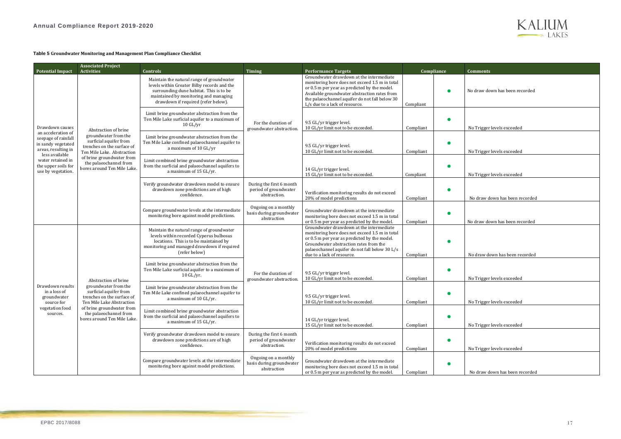#### <span id="page-16-0"></span>**Table 5 Groundwater Monitoring and Management Plan Compliance Checklist**

|                                                                                        | <b>Associated Project</b>                                                                                                         |                                                                                                                                                                                                                     |                                                                   |                                                                                                                                                                                                                                                                                |                                                 |                                                                |                                                                                                     |                                                                   |                                                                           |           |  |                                |
|----------------------------------------------------------------------------------------|-----------------------------------------------------------------------------------------------------------------------------------|---------------------------------------------------------------------------------------------------------------------------------------------------------------------------------------------------------------------|-------------------------------------------------------------------|--------------------------------------------------------------------------------------------------------------------------------------------------------------------------------------------------------------------------------------------------------------------------------|-------------------------------------------------|----------------------------------------------------------------|-----------------------------------------------------------------------------------------------------|-------------------------------------------------------------------|---------------------------------------------------------------------------|-----------|--|--------------------------------|
| <b>Potential Impact</b>                                                                | <b>Activities</b>                                                                                                                 | Controls                                                                                                                                                                                                            | <b>Timing</b>                                                     | <b>Performance Targets</b>                                                                                                                                                                                                                                                     |                                                 | <b>Compliance</b>                                              | <b>Comments</b>                                                                                     |                                                                   |                                                                           |           |  |                                |
|                                                                                        |                                                                                                                                   | Maintain the natural range of groundwater<br>levels within Greater Bilby records and the<br>surrounding dune habitat. This is to be<br>maintained by monitoring and managing<br>drawdown if required (refer below). |                                                                   | Groundwater drawdown at the intermediate<br>monitoring bore does not exceed 1.5 m in total<br>or 0.5 m per year as predicted by the model.<br>Available groundwater abstraction rates from<br>the palaeochannel aquifer do not fall below 30<br>L/s due to a lack of resource. | Compliant                                       |                                                                | No draw down has been recorded                                                                      |                                                                   |                                                                           |           |  |                                |
| Drawdown causes                                                                        |                                                                                                                                   | Abstraction of brine                                                                                                                                                                                                |                                                                   | Limit brine groundwater abstraction from the<br>Ten Mile Lake surficial aquifer to a maximum of<br>$10 \, \mathrm{GL} / \mathrm{yr}$                                                                                                                                           | For the duration of<br>groundwater abstraction. | 9.5 GL/yr trigger level.<br>10 GL/yr limit not to be exceeded. | Compliant                                                                                           |                                                                   | No Trigger levels exceeded                                                |           |  |                                |
| an acceleration of<br>seepage of rainfall<br>in sandy vegetated<br>areas, resulting in | groundwater from the<br>surficial aquifer from<br>trenches on the surface of<br>Ten Mile Lake. Abstraction                        | Limit brine groundwater abstraction from the<br>Ten Mile Lake confined palaeochannel aquifer to<br>a maximum of 10 GL/yr                                                                                            |                                                                   | 9.5 GL/yr trigger level.<br>10 GL/yr limit not to be exceeded.                                                                                                                                                                                                                 | Compliant                                       |                                                                | No Trigger levels exceeded                                                                          |                                                                   |                                                                           |           |  |                                |
| less available<br>water retained in<br>the upper soils for<br>use by vegetation.       | of brine groundwater from<br>the palaeochannel from<br>bores around Ten Mile Lake.                                                | Limit combined brine groundwater abstraction<br>from the surficial and palaeochannel aquifers to<br>a maximum of 15 GL/yr.                                                                                          |                                                                   | 14 GL/yr trigger level.<br>15 GL/yr limit not to be exceeded.                                                                                                                                                                                                                  | Compliant                                       |                                                                | No Trigger levels exceeded                                                                          |                                                                   |                                                                           |           |  |                                |
|                                                                                        |                                                                                                                                   |                                                                                                                                                                                                                     |                                                                   |                                                                                                                                                                                                                                                                                |                                                 |                                                                | Verify groundwater drawdown model to ensure<br>drawdown zone predictions are of high<br>confidence. | During the first 6 month<br>period of groundwater<br>abstraction. | Verification monitoring results do not exceed<br>20% of model predictions | Compliant |  | No draw down has been recorded |
|                                                                                        |                                                                                                                                   | Compare groundwater levels at the intermediate<br>monitoring bore against model predictions.                                                                                                                        | Ongoing on a monthly<br>basis during groundwater<br>abstraction   | Groundwater drawdown at the intermediate<br>monitoring bore does not exceed 1.5 m in total<br>or 0.5 m per year as predicted by the model.                                                                                                                                     | Compliant                                       |                                                                | No draw down has been recorded                                                                      |                                                                   |                                                                           |           |  |                                |
|                                                                                        | Abstraction of brine<br>groundwater from the<br>surficial aquifer from<br>trenches on the surface of<br>Ten Mile Lake Abstraction | Maintain the natural range of groundwater<br>levels within recorded Cyperus bulbosus<br>locations. This is to be maintained by<br>monitoring and managed drawdown if required<br>(refer below)                      | For the duration of<br>groundwater abstraction                    | Groundwater drawdown at the intermediate<br>monitoring bore does not exceed 1.5 m in total<br>or 0.5 m per year as predicted by the model.<br>Groundwater abstraction rates from the<br>palaeochannel aquifer do not fall below 30 L/s<br>due to a lack of resource.           | Compliant                                       |                                                                | No draw down has been recorded                                                                      |                                                                   |                                                                           |           |  |                                |
|                                                                                        |                                                                                                                                   | Limit brine groundwater abstraction from the<br>Ten Mile Lake surficial aquifer to a maximum of<br>$10 \text{ GL/yr}.$                                                                                              |                                                                   | 9.5 GL/yr trigger level.<br>10 GL/yr limit not to be exceeded.                                                                                                                                                                                                                 | Compliant                                       |                                                                | No Trigger levels exceeded                                                                          |                                                                   |                                                                           |           |  |                                |
| Drawdown results<br>in a loss of<br>groundwater<br>source for                          |                                                                                                                                   | Limit brine groundwater abstraction from the<br>Ten Mile Lake confined palaeochannel aquifer to<br>a maximum of 10 GL/yr.                                                                                           |                                                                   | 9.5 GL/yr trigger level.<br>10 GL/yr limit not to be exceeded.                                                                                                                                                                                                                 | Compliant                                       |                                                                | No Trigger levels exceeded                                                                          |                                                                   |                                                                           |           |  |                                |
| vegetation food<br>sources.                                                            | of brine groundwater from<br>the palaeochannel from<br>bores around Ten Mile Lake.                                                | Limit combined brine groundwater abstraction<br>from the surficial and palaeochannel aquifers to<br>a maximum of 15 GL/yr.                                                                                          |                                                                   | 14 GL/yr trigger level.<br>15 GL/yr limit not to be exceeded.                                                                                                                                                                                                                  | Compliant                                       |                                                                | No Trigger levels exceeded                                                                          |                                                                   |                                                                           |           |  |                                |
|                                                                                        |                                                                                                                                   | Verify groundwater drawdown model to ensure<br>drawdown zone predictions are of high<br>confidence.                                                                                                                 | During the first 6 month<br>period of groundwater<br>abstraction. | Verification monitoring results do not exceed<br>20% of model predictions                                                                                                                                                                                                      | Compliant                                       |                                                                | No Trigger levels exceeded                                                                          |                                                                   |                                                                           |           |  |                                |
|                                                                                        |                                                                                                                                   | Compare groundwater levels at the intermediate<br>monitoring bore against model predictions.                                                                                                                        | Ongoing on a monthly<br>basis during groundwater<br>abstraction   | Groundwater drawdown at the intermediate<br>monitoring bore does not exceed 1.5 m in total<br>or 0.5 m per year as predicted by the model.                                                                                                                                     | Compliant                                       |                                                                | No draw down has been recorded                                                                      |                                                                   |                                                                           |           |  |                                |

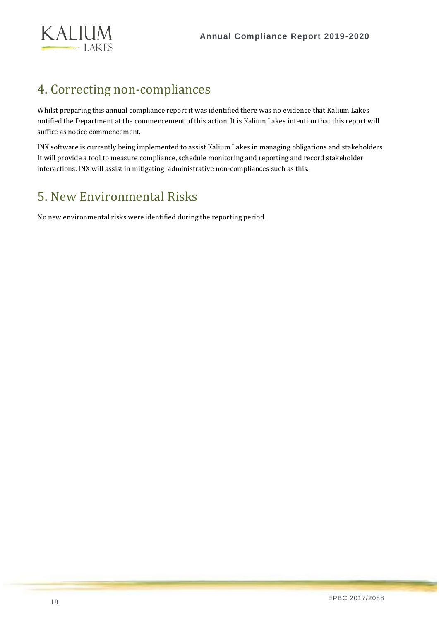

### <span id="page-17-0"></span>4. Correcting non-compliances

Whilst preparing this annual compliance report it was identified there was no evidence that Kalium Lakes notified the Department at the commencement of this action. It is Kalium Lakes intention that this report will suffice as notice commencement.

INX software is currently being implemented to assist Kalium Lakes in managing obligations and stakeholders. It will provide a tool to measure compliance, schedule monitoring and reporting and record stakeholder interactions. INX will assist in mitigating administrative non-compliances such as this.

### <span id="page-17-1"></span>5. New Environmental Risks

No new environmental risks were identified during the reporting period.